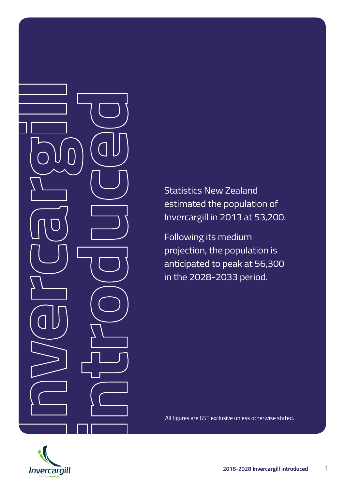Statistics New Zealand estimated the population of Invercargill in 2013 at 53,200.

Following its medium projection, the population is anticipated to peak at 56,300 in the 2028-2033 period.

All figures are GST exclusive unless otherwise stated.

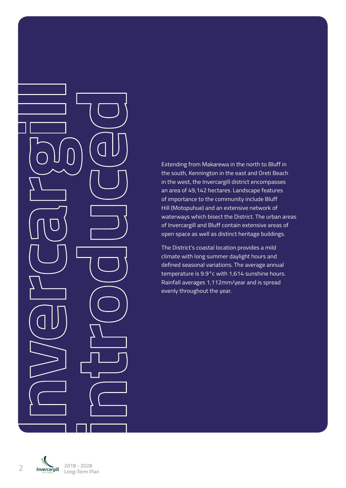Extending from Makarewa in the north to Bluff in the south, Kennington in the east and Oreti Beach in the west, the Invercargill district encompasses an area of 49,142 hectares. Landscape features of importance to the community include Bluff Hill (Motopuhue) and an extensive network of waterways which bisect the District. The urban areas of Invercargill and Bluff contain extensive areas of open space as well as distinct heritage buildings.

The District's coastal location provides a mild climate with long summer daylight hours and defined seasonal variations. The average annual temperature is 9.9°c with 1,614 sunshine hours. Rainfall averages 1,112mm/year and is spread evenly throughout the year.

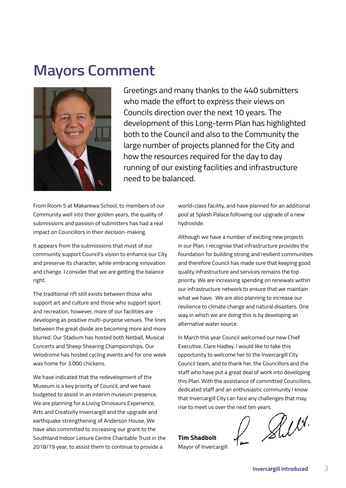## **Mayors Comment**



Greetings and many thanks to the 440 submitters who made the effort to express their views on Councils direction over the next 10 years. The development of this Long-term Plan has highlighted both to the Council and also to the Community the large number of projects planned for the City and how the resources required for the day to day running of our existing facilities and infrastructure need to be balanced.

From Room 5 at Makarewa School, to members of our Community well into their golden years, the quality of submissions and passion of submitters has had a real impact on Councillors in their decision-making.

It appears from the submissions that most of our community support Council's vision to enhance our City and preserve its character, while embracing innovation and change. I consider that we are getting the balance right.

The traditional rift still exists between those who support art and culture and those who support sport and recreation, however, more of our facilities are developing as positive multi-purpose venues. The lines between the great divide are becoming more and more blurred. Our Stadium has hosted both Netball, Musical Concerts and Sheep Shearing Championships. Our Velodrome has hosted cycling events and for one week was home for 3,000 chickens.

We have indicated that the redevelopment of the Museum is a key priority of Council, and we have budgeted to assist in an interim museum presence. We are planning for a Living Dinosaurs Experience, Arts and Creativity Invercargill and the upgrade and earthquake strengthening of Anderson House. We have also committed to increasing our grant to the Southland Indoor Leisure Centre Charitable Trust in the 2018/19 year, to assist them to continue to provide a

world-class facility, and have planned for an additional pool at Splash Palace following our upgrade of a new hydroslide.

Although we have a number of exciting new projects in our Plan, I recognise that infrastructure provides the foundation for building strong and resilient communities and therefore Council has made sure that keeping good quality infrastructure and services remains the top priority. We are increasing spending on renewals within our infrastructure network to ensure that we maintain what we have. We are also planning to increase our resilience to climate change and natural disasters. One way in which we are doing this is by developing an alternative water source.

In March this year Council welcomed our new Chief Executive, Clare Hadley. I would like to take this opportunity to welcome her to the Invercargill City Council team, and to thank her, the Councillors and the staff who have put a great deal of work into developing this Plan. With the assistance of committed Councillors, dedicated staff and an enthusiastic community I know that Invercargill City can face any challenges that may

**Tim Shadbolt** Mayor of Invercargill

rise to meet us over the next ten years.<br>
Tim Shadbolt  $\mathcal{N}$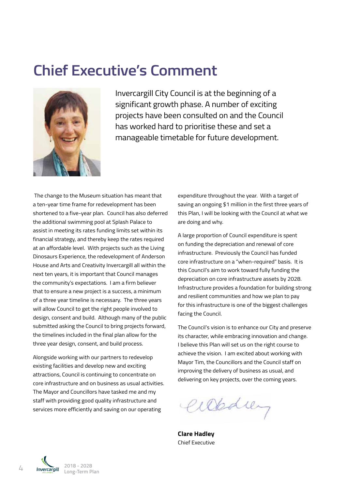## **Chief Executive's Comment**



Invercargill City Council is at the beginning of a significant growth phase. A number of exciting projects have been consulted on and the Council has worked hard to prioritise these and set a manageable timetable for future development.

 The change to the Museum situation has meant that a ten-year time frame for redevelopment has been shortened to a five-year plan. Council has also deferred the additional swimming pool at Splash Palace to assist in meeting its rates funding limits set within its financial strategy, and thereby keep the rates required at an affordable level. With projects such as the Living Dinosaurs Experience, the redevelopment of Anderson House and Arts and Creativity Invercargill all within the next ten years, it is important that Council manages the community's expectations. I am a firm believer that to ensure a new project is a success, a minimum of a three year timeline is necessary. The three years will allow Council to get the right people involved to design, consent and build. Although many of the public submitted asking the Council to bring projects forward, the timelines included in the final plan allow for the three year design, consent, and build process.

Alongside working with our partners to redevelop existing facilities and develop new and exciting attractions, Council is continuing to concentrate on core infrastructure and on business as usual activities. The Mayor and Councillors have tasked me and my staff with providing good quality infrastructure and services more efficiently and saving on our operating

expenditure throughout the year. With a target of saving an ongoing \$1 million in the first three years of this Plan, I will be looking with the Council at what we are doing and why.

A large proportion of Council expenditure is spent on funding the depreciation and renewal of core infrastructure. Previously the Council has funded core infrastructure on a "when-required" basis. It is this Council's aim to work toward fully funding the depreciation on core infrastructure assets by 2028. Infrastructure provides a foundation for building strong and resilient communities and how we plan to pay for this infrastructure is one of the biggest challenges facing the Council.

The Council's vision is to enhance our City and preserve its character, while embracing innovation and change. I believe this Plan will set us on the right course to achieve the vision. I am excited about working with Mayor Tim, the Councillors and the Council staff on improving the delivery of business as usual, and delivering on key projects, over the coming years.

Weding

**Clare Hadley** Chief Executive

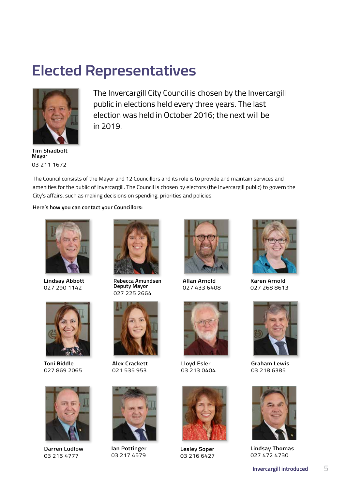## **Elected Representatives**



**Tim Shadbolt Mayor** 03 211 1672

The Invercargill City Council is chosen by the Invercargill public in elections held every three years. The last election was held in October 2016; the next will be in 2019.

The Council consists of the Mayor and 12 Councillors and its role is to provide and maintain services and amenities for the public of Invercargill. The Council is chosen by electors (the Invercargill public) to govern the City's affairs, such as making decisions on spending, priorities and policies.

**Here's how you can contact your Councillors:**



**Lindsay Abbott** 027 290 1142



**Toni Biddle** 027 869 2065



**Darren Ludlow** 03 215 4777



**Rebecca Amundsen Deputy Mayor** 027 225 2664



**Alex Crackett** 021 535 953



**Ian Pottinger** 03 217 4579



**Allan Arnold** 027 433 6408



**Lloyd Esler** 03 213 0404



**Lesley Soper** 03 216 6427



**Karen Arnold** 027 268 8613



**Graham Lewis** 03 218 6385



**Lindsay Thomas** 027 472 4730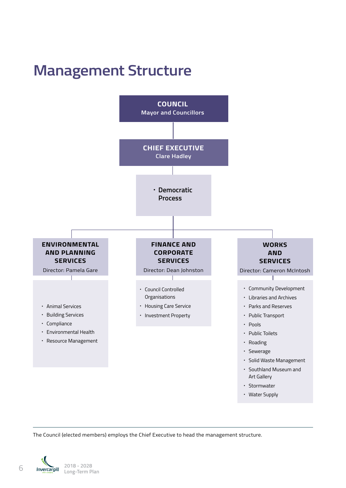# **Management Structure**



The Council (elected members) employs the Chief Executive to head the management structure.

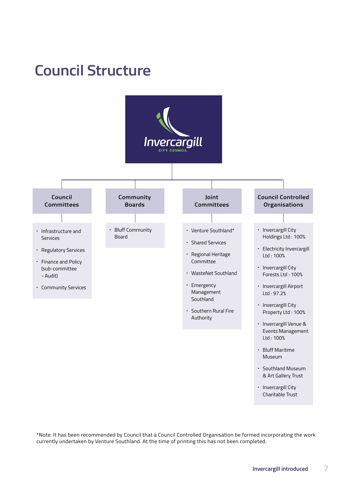## **Council Structure**



\*Note: It has been recommended by Council that a Council Controlled Organisation be formed incorporating the work currently undertaken by Venture Southland. At the time of printing this has not been completed.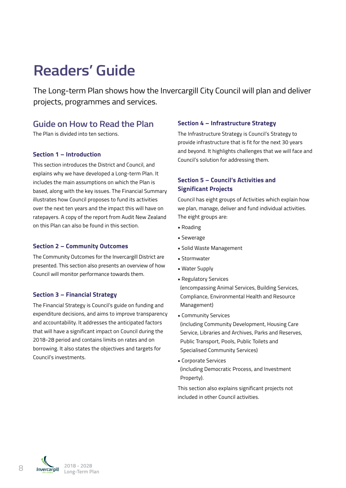# **Readers' Guide**

The Long-term Plan shows how the Invercargill City Council will plan and deliver projects, programmes and services.

### **Guide on How to Read the Plan**

The Plan is divided into ten sections.

#### **Section 1 – Introduction**

This section introduces the District and Council, and explains why we have developed a Long-term Plan. It includes the main assumptions on which the Plan is based, along with the key issues. The Financial Summary illustrates how Council proposes to fund its activities over the next ten years and the impact this will have on ratepayers. A copy of the report from Audit New Zealand on this Plan can also be found in this section.

#### **Section 2 – Community Outcomes**

The Community Outcomes for the Invercargill District are presented. This section also presents an overview of how Council will monitor performance towards them.

#### **Section 3 – Financial Strategy**

The Financial Strategy is Council's guide on funding and expenditure decisions, and aims to improve transparency and accountability. It addresses the anticipated factors that will have a significant impact on Council during the 2018-28 period and contains limits on rates and on borrowing. It also states the objectives and targets for Council's investments.

#### **Section 4 – Infrastructure Strategy**

The Infrastructure Strategy is Council's Strategy to provide infrastructure that is fit for the next 30 years and beyond. It highlights challenges that we will face and Council's solution for addressing them.

#### **Section 5 – Council's Activities and Significant Projects**

Council has eight groups of Activities which explain how we plan, manage, deliver and fund individual activities. The eight groups are:

- **•** Roading
- **•** Sewerage
- **•** Solid Waste Management
- **•** Stormwater
- **•** Water Supply
- **•** Regulatory Services (encompassing Animal Services, Building Services, Compliance, Environmental Health and Resource Management)
- **•** Community Services

 (including Community Development, Housing Care Service, Libraries and Archives, Parks and Reserves, Public Transport, Pools, Public Toilets and Specialised Community Services)

**•** Corporate Services (including Democratic Process, and Investment Property).

This section also explains significant projects not included in other Council activities.

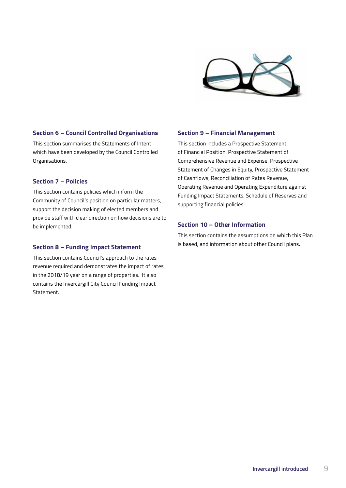

#### **Section 6 – Council Controlled Organisations**

This section summarises the Statements of Intent which have been developed by the Council Controlled Organisations.

#### **Section 7 – Policies**

This section contains policies which inform the Community of Council's position on particular matters, support the decision making of elected members and provide staff with clear direction on how decisions are to be implemented.

#### **Section 8 – Funding Impact Statement**

This section contains Council's approach to the rates revenue required and demonstrates the impact of rates in the 2018/19 year on a range of properties. It also contains the Invercargill City Council Funding Impact Statement.

#### **Section 9 – Financial Management**

This section includes a Prospective Statement of Financial Position, Prospective Statement of Comprehensive Revenue and Expense, Prospective Statement of Changes in Equity, Prospective Statement of Cashflows, Reconciliation of Rates Revenue, Operating Revenue and Operating Expenditure against Funding Impact Statements, Schedule of Reserves and supporting financial policies.

#### **Section 10 – Other Information**

This section contains the assumptions on which this Plan is based, and information about other Council plans.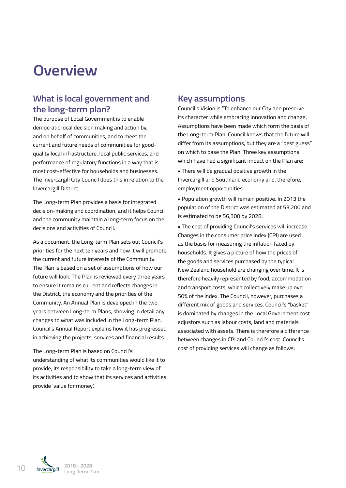## **Overview**

## **What is local government and the long-term plan?**

The purpose of Local Government is to enable democratic local decision making and action by, and on behalf of communities, and to meet the current and future needs of communities for goodquality local infrastructure, local public services, and performance of regulatory functions in a way that is most cost-effective for households and businesses. The Invercargill City Council does this in relation to the Invercargill District.

The Long-term Plan provides a basis for integrated decision-making and coordination, and it helps Council and the community maintain a long-term focus on the decisions and activities of Council.

As a document, the Long-term Plan sets out Council's priorities for the next ten years and how it will promote the current and future interests of the Community. The Plan is based on a set of assumptions of how our future will look. The Plan is reviewed every three years to ensure it remains current and reflects changes in the District, the economy and the priorities of the Community. An Annual Plan is developed in the two years between Long-term Plans, showing in detail any changes to what was included in the Long-term Plan. Council's Annual Report explains how it has progressed in achieving the projects, services and financial results.

The Long-term Plan is based on Council's understanding of what its communities would like it to provide, its responsibility to take a long-term view of its activities and to show that its services and activities provide 'value for money'.

### **Key assumptions**

Council's Vision is "To enhance our City and preserve its character while embracing innovation and change'. Assumptions have been made which form the basis of the Long-term Plan. Council knows that the future will differ from its assumptions, but they are a "best guess" on which to base the Plan. Three key assumptions which have had a significant impact on the Plan are:

**•** There will be gradual positive growth in the Invercargill and Southland economy and, therefore, employment opportunities.

**•** Population growth will remain positive. In 2013 the population of the District was estimated at 53,200 and is estimated to be 56,300 by 2028.

**•** The cost of providing Council's services will increase. Changes in the consumer price index (CPI) are used as the basis for measuring the inflation faced by households. It gives a picture of how the prices of the goods and services purchased by the typical New Zealand household are changing over time. It is therefore heavily represented by food, accommodation and transport costs, which collectively make up over 50% of the index. The Council, however, purchases a different mix of goods and services. Council's "basket" is dominated by changes in the Local Government cost adjustors such as labour costs, land and materials associated with assets. There is therefore a difference between changes in CPI and Council's cost. Council's cost of providing services will change as follows:

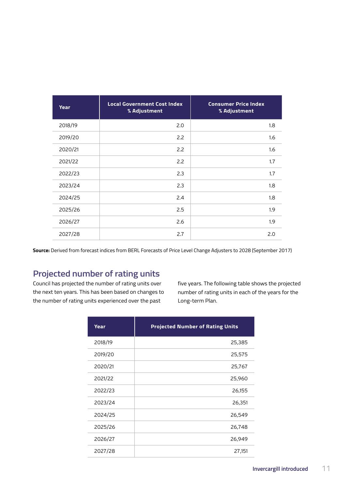| <b>Year</b> | <b>Local Government Cost Index</b><br>% Adjustment | <b>Consumer Price Index</b><br>% Adjustment |
|-------------|----------------------------------------------------|---------------------------------------------|
| 2018/19     | 2.0                                                | 1.8                                         |
| 2019/20     | 2.2                                                | 1.6                                         |
| 2020/21     | 2.2                                                | 1.6                                         |
| 2021/22     | 2.2                                                | 1.7                                         |
| 2022/23     | 2.3                                                | 1.7                                         |
| 2023/24     | 2.3                                                | 1.8                                         |
| 2024/25     | 2.4                                                | 1.8                                         |
| 2025/26     | 2.5                                                | 1.9                                         |
| 2026/27     | 2.6                                                | 1.9                                         |
| 2027/28     | 2.7                                                | 2.0                                         |

**Source:** Derived from forecast indices from BERL Forecasts of Price Level Change Adjusters to 2028 (September 2017)

## **Projected number of rating units**

Council has projected the number of rating units over the next ten years. This has been based on changes to the number of rating units experienced over the past

five years. The following table shows the projected number of rating units in each of the years for the Long-term Plan.

| Year    | <b>Projected Number of Rating Units</b> |  |
|---------|-----------------------------------------|--|
| 2018/19 | 25,385                                  |  |
| 2019/20 | 25,575                                  |  |
| 2020/21 | 25,767                                  |  |
| 2021/22 | 25,960                                  |  |
| 2022/23 | 26,155                                  |  |
| 2023/24 | 26,351                                  |  |
| 2024/25 | 26,549                                  |  |
| 2025/26 | 26,748                                  |  |
| 2026/27 | 26,949                                  |  |
| 2027/28 | 27,151                                  |  |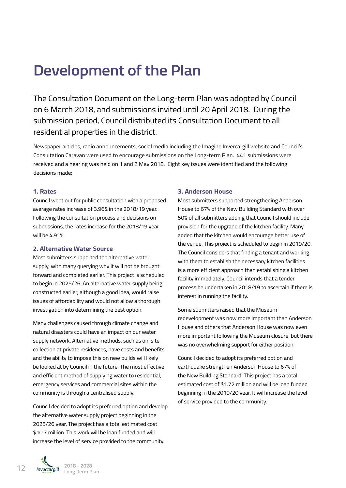# **Development of the Plan**

The Consultation Document on the Long-term Plan was adopted by Council on 6 March 2018, and submissions invited until 20 April 2018. During the submission period, Council distributed its Consultation Document to all residential properties in the district.

Newspaper articles, radio announcements, social media including the Imagine Invercargill website and Council's Consultation Caravan were used to encourage submissions on the Long-term Plan. 441 submissions were received and a hearing was held on 1 and 2 May 2018. Eight key issues were identified and the following decisions made:

#### **1. Rates**

Council went out for public consultation with a proposed average rates increase of 3.96% in the 2018/19 year. Following the consultation process and decisions on submissions, the rates increase for the 2018/19 year will be 4.91%.

#### **2. Alternative Water Source**

Most submitters supported the alternative water supply, with many querying why it will not be brought forward and completed earlier. This project is scheduled to begin in 2025/26. An alternative water supply being constructed earlier, although a good idea, would raise issues of affordability and would not allow a thorough investigation into determining the best option.

Many challenges caused through climate change and natural disasters could have an impact on our water supply network. Alternative methods, such as on-site collection at private residences, have costs and benefits and the ability to impose this on new builds will likely be looked at by Council in the future. The most effective and efficient method of supplying water to residential, emergency services and commercial sites within the community is through a centralised supply.

Council decided to adopt its preferred option and develop the alternative water supply project beginning in the 2025/26 year. The project has a total estimated cost \$10.7 million. This work will be loan funded and will increase the level of service provided to the community.

#### **3. Anderson House**

Most submitters supported strengthening Anderson House to 67% of the New Building Standard with over 50% of all submitters adding that Council should include provision for the upgrade of the kitchen facility. Many added that the kitchen would encourage better use of the venue. This project is scheduled to begin in 2019/20. The Council considers that finding a tenant and working with them to establish the necessary kitchen facilities is a more efficient approach than establishing a kitchen facility immediately. Council intends that a tender process be undertaken in 2018/19 to ascertain if there is interest in running the facility.

Some submitters raised that the Museum redevelopment was now more important than Anderson House and others that Anderson House was now even more important following the Museum closure, but there was no overwhelming support for either position.

Council decided to adopt its preferred option and earthquake strengthen Anderson House to 67% of the New Building Standard. This project has a total estimated cost of \$1.72 million and will be loan funded beginning in the 2019/20 year. It will increase the level of service provided to the community.

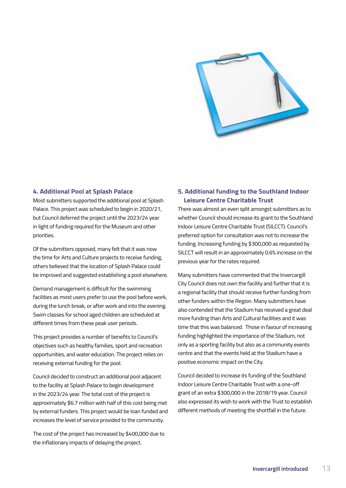

#### **4. Additional Pool at Splash Palace**

Most submitters supported the additional pool at Splash Palace. This project was scheduled to begin in 2020/21, but Council deferred the project until the 2023/24 year in light of funding required for the Museum and other priorities.

Of the submitters opposed, many felt that it was now the time for Arts and Culture projects to receive funding, others believed that the location of Splash Palace could be improved and suggested establishing a pool elsewhere.

Demand management is difficult for the swimming facilities as most users prefer to use the pool before work, during the lunch break, or after work and into the evening. Swim classes for school aged children are scheduled at different times from these peak user periods.

This project provides a number of benefits to Council's objectives such as healthy families, sport and recreation opportunities, and water education. The project relies on receiving external funding for the pool.

Council decided to construct an additional pool adjacent to the facility at Splash Palace to begin development in the 2023/24 year. The total cost of the project is approximately \$6.7 million with half of this cost being met by external funders. This project would be loan funded and increases the level of service provided to the community.

The cost of the project has increased by \$400,000 due to the inflationary impacts of delaying the project.

#### **5. Additional funding to the Southland Indoor Leisure Centre Charitable Trust**

There was almost an even split amongst submitters as to whether Council should increase its grant to the Southland Indoor Leisure Centre Charitable Trust (SILCCT). Council's preferred option for consultation was not to increase the funding. Increasing funding by \$300,000 as requested by SILCCT will result in an approximately 0.6% increase on the previous year for the rates required.

Many submitters have commented that the Invercargill City Council does not own the facility and further that it is a regional facility that should receive further funding from other funders within the Region. Many submitters have also contended that the Stadium has received a great deal more funding than Arts and Cultural facilities and it was time that this was balanced. Those in favour of increasing funding highlighted the importance of the Stadium, not only as a sporting facility but also as a community events centre and that the events held at the Stadium have a positive economic impact on the City.

Council decided to increase its funding of the Southland Indoor Leisure Centre Charitable Trust with a one-off grant of an extra \$300,000 in the 2018/19 year. Council also expressed its wish to work with the Trust to establish different methods of meeting the shortfall in the future.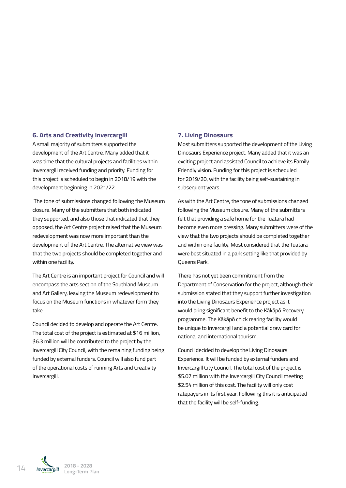#### **6. Arts and Creativity Invercargill**

A small majority of submitters supported the development of the Art Centre. Many added that it was time that the cultural projects and facilities within Invercargill received funding and priority. Funding for this project is scheduled to begin in 2018/19 with the development beginning in 2021/22.

 The tone of submissions changed following the Museum closure. Many of the submitters that both indicated they supported, and also those that indicated that they opposed, the Art Centre project raised that the Museum redevelopment was now more important than the development of the Art Centre. The alternative view was that the two projects should be completed together and within one facility.

The Art Centre is an important project for Council and will encompass the arts section of the Southland Museum and Art Gallery, leaving the Museum redevelopment to focus on the Museum functions in whatever form they take.

Council decided to develop and operate the Art Centre. The total cost of the project is estimated at \$16 million, \$6.3 million will be contributed to the project by the Invercargill City Council, with the remaining funding being funded by external funders. Council will also fund part of the operational costs of running Arts and Creativity Invercargill.

#### **7. Living Dinosaurs**

Most submitters supported the development of the Living Dinosaurs Experience project. Many added that it was an exciting project and assisted Council to achieve its Family Friendly vision. Funding for this project is scheduled for 2019/20, with the facility being self-sustaining in subsequent years.

As with the Art Centre, the tone of submissions changed following the Museum closure. Many of the submitters felt that providing a safe home for the Tuatara had become even more pressing. Many submitters were of the view that the two projects should be completed together and within one facility. Most considered that the Tuatara were best situated in a park setting like that provided by Queens Park.

There has not yet been commitment from the Department of Conservation for the project, although their submission stated that they support further investigation into the Living Dinosaurs Experience project as it would bring significant benefit to the Kākāpō Recovery programme. The Kākāpō chick rearing facility would be unique to Invercargill and a potential draw card for national and international tourism.

Council decided to develop the Living Dinosaurs Experience. It will be funded by external funders and Invercargill City Council. The total cost of the project is \$5.07 million with the Invercargill City Council meeting \$2.54 million of this cost. The facility will only cost ratepayers in its first year. Following this it is anticipated that the facility will be self-funding.

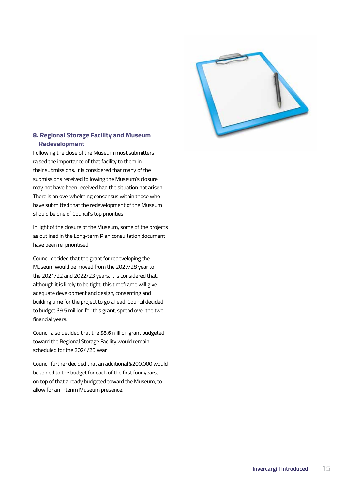

#### **8. Regional Storage Facility and Museum Redevelopment**

Following the close of the Museum most submitters raised the importance of that facility to them in their submissions. It is considered that many of the submissions received following the Museum's closure may not have been received had the situation not arisen. There is an overwhelming consensus within those who have submitted that the redevelopment of the Museum should be one of Council's top priorities.

In light of the closure of the Museum, some of the projects as outlined in the Long-term Plan consultation document have been re-prioritised.

Council decided that the grant for redeveloping the Museum would be moved from the 2027/28 year to the 2021/22 and 2022/23 years. It is considered that, although it is likely to be tight, this timeframe will give adequate development and design, consenting and building time for the project to go ahead. Council decided to budget \$9.5 million for this grant, spread over the two financial years.

Council also decided that the \$8.6 million grant budgeted toward the Regional Storage Facility would remain scheduled for the 2024/25 year.

Council further decided that an additional \$200,000 would be added to the budget for each of the first four years, on top of that already budgeted toward the Museum, to allow for an interim Museum presence.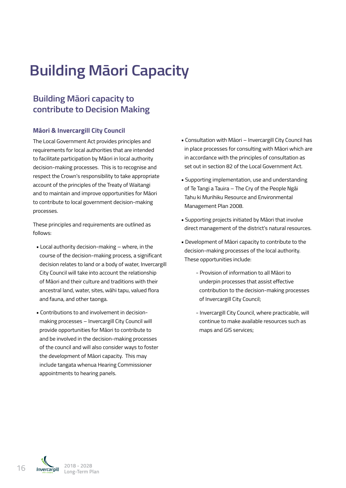# **Building Māori Capacity**

## **Building Māori capacity to contribute to Decision Making**

#### **Māori & Invercargill City Council**

The Local Government Act provides principles and requirements for local authorities that are intended to facilitate participation by Māori in local authority decision-making processes. This is to recognise and respect the Crown's responsibility to take appropriate account of the principles of the Treaty of Waitangi and to maintain and improve opportunities for Māori to contribute to local government decision-making processes.

These principles and requirements are outlined as follows:

- Local authority decision-making where, in the course of the decision-making process, a significant decision relates to land or a body of water, Invercargill City Council will take into account the relationship of Māori and their culture and traditions with their ancestral land, water, sites, wāhi tapu, valued flora and fauna, and other taonga.
- Contributions to and involvement in decisionmaking processes – Invercargill City Council will provide opportunities for Māori to contribute to and be involved in the decision-making processes of the council and will also consider ways to foster the development of Māori capacity. This may include tangata whenua Hearing Commissioner appointments to hearing panels.
- Consultation with Māori Invercargill City Council has in place processes for consulting with Māori which are in accordance with the principles of consultation as set out in section 82 of the Local Government Act.
- Supporting implementation, use and understanding of Te Tangi a Tauira – The Cry of the People Ngāi Tahu ki Murihiku Resource and Environmental Management Plan 2008.
- Supporting projects initiated by Māori that involve direct management of the district's natural resources.
- Development of Māori capacity to contribute to the decision-making processes of the local authority. These opportunities include:
	- Provision of information to all Māori to underpin processes that assist effective contribution to the decision-making processes of Invercargill City Council;
	- Invercargill City Council, where practicable, will continue to make available resources such as maps and GIS services;

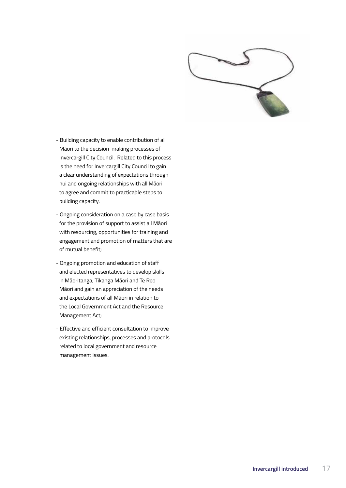

- Building capacity to enable contribution of all Māori to the decision-making processes of Invercargill City Council. Related to this process is the need for Invercargill City Council to gain a clear understanding of expectations through hui and ongoing relationships with all Māori to agree and commit to practicable steps to building capacity.
- Ongoing consideration on a case by case basis for the provision of support to assist all Māori with resourcing, opportunities for training and engagement and promotion of matters that are of mutual benefit;
- Ongoing promotion and education of staff and elected representatives to develop skills in Māoritanga, Tikanga Māori and Te Reo Māori and gain an appreciation of the needs and expectations of all Māori in relation to the Local Government Act and the Resource Management Act;
- Effective and efficient consultation to improve existing relationships, processes and protocols related to local government and resource management issues.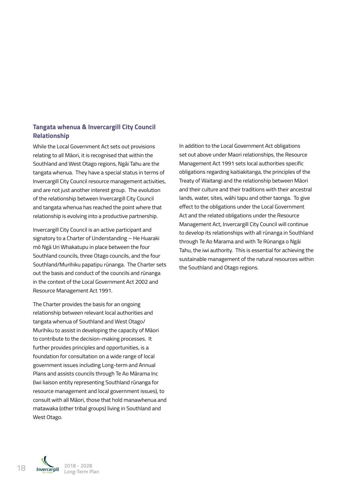#### **Tangata whenua & Invercargill City Council Relationship**

While the Local Government Act sets out provisions relating to all Māori, it is recognised that within the Southland and West Otago regions, Ngāi Tahu are the tangata whenua. They have a special status in terms of Invercargill City Council resource management activities, and are not just another interest group. The evolution of the relationship between Invercargill City Council and tangata whenua has reached the point where that relationship is evolving into a productive partnership.

Invercargill City Council is an active participant and signatory to a Charter of Understanding – He Huaraki mō Ngā Uri Whakatupu in place between the four Southland councils, three Otago councils, and the four Southland/Murihiku papatipu rūnanga. The Charter sets out the basis and conduct of the councils and rūnanga in the context of the Local Government Act 2002 and Resource Management Act 1991.

The Charter provides the basis for an ongoing relationship between relevant local authorities and tangata whenua of Southland and West Otago/ Murihiku to assist in developing the capacity of Māori to contribute to the decision-making processes. It further provides principles and opportunities, is a foundation for consultation on a wide range of local government issues including Long-term and Annual Plans and assists councils through Te Ao Mārama Inc (Iwi liaison entity representing Southland rūnanga for resource management and local government issues), to consult with all Māori, those that hold manawhenua and matawaka (other tribal groups) living in Southland and West Otago.

In addition to the Local Government Act obligations set out above under Maori relationships, the Resource Management Act 1991 sets local authorities specific obligations regarding kaitiakitanga, the principles of the Treaty of Waitangi and the relationship between Māori and their culture and their traditions with their ancestral lands, water, sites, wāhi tapu and other taonga. To give effect to the obligations under the Local Government Act and the related obligations under the Resource Management Act, Invercargill City Council will continue to develop its relationships with all rūnanga in Southland through Te Ao Marama and with Te Rūnanga o Ngāi Tahu, the iwi authority. This is essential for achieving the sustainable management of the natural resources within the Southland and Otago regions.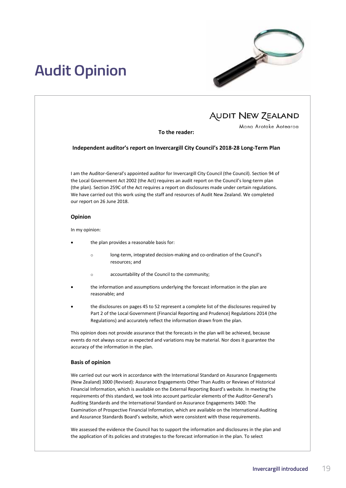# **Audit Opinion**



## **AUDIT NEW ZEALAND**

Mana Arotake Aotearoa

#### **To the reader:**

**Independent auditor's report on Invercargill City Council's 2018-28 Long-Term Plan**

I am the Auditor-General's appointed auditor for Invercargill City Council (the Council). Section 94 of the Local Government Act 2002 (the Act) requires an audit report on the Council's long-term plan (the plan). Section 259C of the Act requires a report on disclosures made under certain regulations. We have carried out this work using the staff and resources of Audit New Zealand. We completed our report on 26 June 2018.

#### **Opinion**

In my opinion:

- the plan provides a reasonable basis for:
	- long-term, integrated decision-making and co-ordination of the Council's resources; and
	- accountability of the Council to the community;
- the information and assumptions underlying the forecast information in the plan are reasonable; and
- the disclosures on pages 45 to 52 represent a complete list of the disclosures required by Part 2 of the Local Government (Financial Reporting and Prudence) Regulations 2014 (the Regulations) and accurately reflect the information drawn from the plan.

This opinion does not provide assurance that the forecasts in the plan will be achieved, because events do not always occur as expected and variations may be material. Nor does it guarantee the accuracy of the information in the plan.

#### **Basis of opinion**

We carried out our work in accordance with the International Standard on Assurance Engagements (New Zealand) 3000 (Revised): Assurance Engagements Other Than Audits or Reviews of Historical Financial Information, which is available on the External Reporting Board's website. In meeting the requirements of this standard, we took into account particular elements of the Auditor-General's Auditing Standards and the International Standard on Assurance Engagements 3400: The Examination of Prospective Financial Information, which are available on the International Auditing and Assurance Standards Board's website, which were consistent with those requirements.

We assessed the evidence the Council has to support the information and disclosures in the plan and the application of its policies and strategies to the forecast information in the plan. To select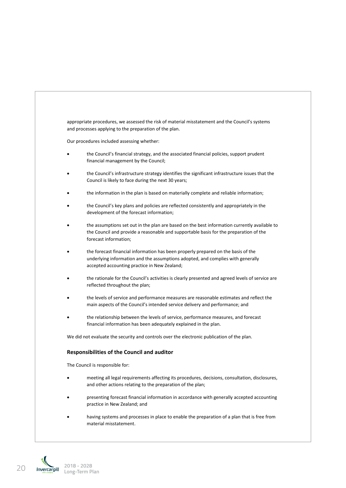

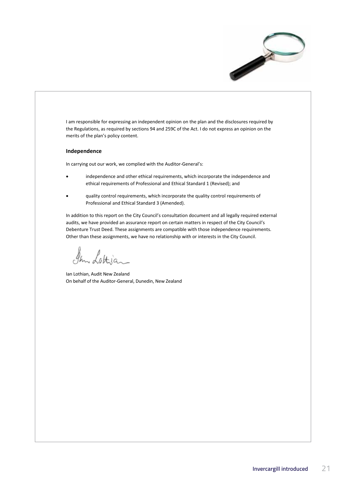

I am responsible for expressing an independent opinion on the plan and the disclosures required by the Regulations, as required by sections 94 and 259C of the Act. I do not express an opinion on the merits of the plan's policy content.

#### **Independence**

In carrying out our work, we complied with the Auditor-General's:

- independence and other ethical requirements, which incorporate the independence and ethical requirements of Professional and Ethical Standard 1 (Revised); and
- quality control requirements, which incorporate the quality control requirements of Professional and Ethical Standard 3 (Amended).

In addition to this report on the City Council's consultation document and all legally required external audits, we have provided an assurance report on certain matters in respect of the City Council's Debenture Trust Deed. These assignments are compatible with those independence requirements. Other than these assignments, we have no relationship with or interests in the City Council.

In Lottian

Ian Lothian, Audit New Zealand On behalf of the Auditor-General, Dunedin, New Zealand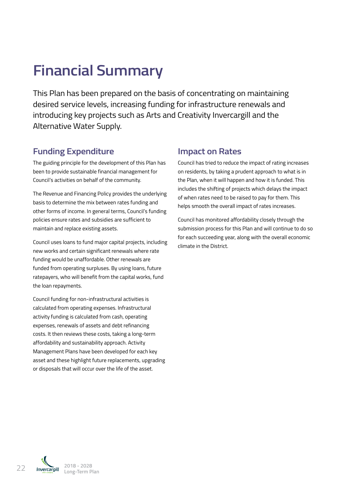# **Financial Summary**

This Plan has been prepared on the basis of concentrating on maintaining desired service levels, increasing funding for infrastructure renewals and introducing key projects such as Arts and Creativity Invercargill and the Alternative Water Supply.

### **Funding Expenditure**

The guiding principle for the development of this Plan has been to provide sustainable financial management for Council's activities on behalf of the community.

The Revenue and Financing Policy provides the underlying basis to determine the mix between rates funding and other forms of income. In general terms, Council's funding policies ensure rates and subsidies are sufficient to maintain and replace existing assets.

Council uses loans to fund major capital projects, including new works and certain significant renewals where rate funding would be unaffordable. Other renewals are funded from operating surpluses. By using loans, future ratepayers, who will benefit from the capital works, fund the loan repayments.

Council funding for non-infrastructural activities is calculated from operating expenses. Infrastructural activity funding is calculated from cash, operating expenses, renewals of assets and debt refinancing costs. It then reviews these costs, taking a long-term affordability and sustainability approach. Activity Management Plans have been developed for each key asset and these highlight future replacements, upgrading or disposals that will occur over the life of the asset.

### **Impact on Rates**

Council has tried to reduce the impact of rating increases on residents, by taking a prudent approach to what is in the Plan, when it will happen and how it is funded. This includes the shifting of projects which delays the impact of when rates need to be raised to pay for them. This helps smooth the overall impact of rates increases.

Council has monitored affordability closely through the submission process for this Plan and will continue to do so for each succeeding year, along with the overall economic climate in the District.

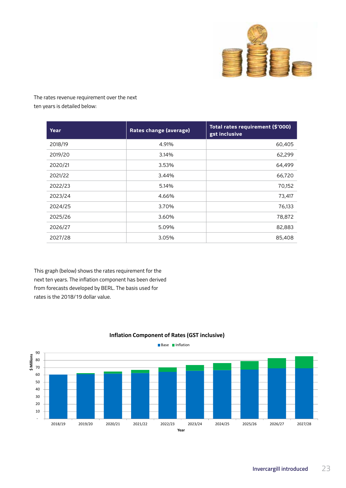

The rates revenue requirement over the next ten years is detailed below:

| Year    | <b>Rates change (average)</b> | Total rates requirement (\$'000)<br>gst inclusive |  |  |
|---------|-------------------------------|---------------------------------------------------|--|--|
| 2018/19 | 4.91%                         | 60,405                                            |  |  |
| 2019/20 | 3.14%                         | 62,299                                            |  |  |
| 2020/21 | 3.53%                         | 64,499                                            |  |  |
| 2021/22 | 3.44%                         | 66,720                                            |  |  |
| 2022/23 | 5.14%                         | 70,152                                            |  |  |
| 2023/24 | 4.66%                         | 73,417                                            |  |  |
| 2024/25 | 3.70%                         | 76,133                                            |  |  |
| 2025/26 | 3.60%                         | 78,872                                            |  |  |
| 2026/27 | 5.09%                         | 82,883                                            |  |  |
| 2027/28 | 3.05%                         | 85,408                                            |  |  |

This graph (below) shows the rates requirement for the next ten years. The inflation component has been derived from forecasts developed by BERL. The basis used for rates is the 2018/19 dollar value.

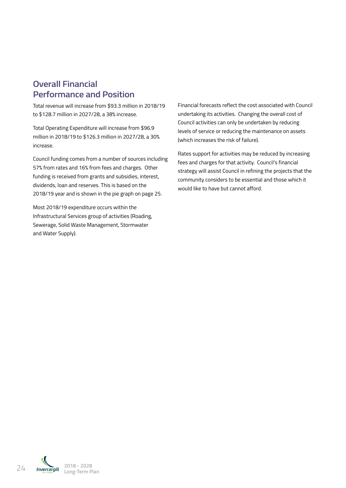### **Overall Financial Performance and Position**

Total revenue will increase from \$93.3 million in 2018/19 to \$128.7 million in 2027/28, a 38% increase.

Total Operating Expenditure will increase from \$96.9 million in 2018/19 to \$126.3 million in 2027/28, a 30% increase.

Council funding comes from a number of sources including 57% from rates and 16% from fees and charges. Other funding is received from grants and subsidies, interest, dividends, loan and reserves. This is based on the 2018/19 year and is shown in the pie graph on page 25.

Most 2018/19 expenditure occurs within the Infrastructural Services group of activities (Roading, Sewerage, Solid Waste Management, Stormwater and Water Supply).

Financial forecasts reflect the cost associated with Council undertaking its activities. Changing the overall cost of Council activities can only be undertaken by reducing levels of service or reducing the maintenance on assets (which increases the risk of failure).

Rates support for activities may be reduced by increasing fees and charges for that activity. Council's financial strategy will assist Council in refining the projects that the community considers to be essential and those which it would like to have but cannot afford.

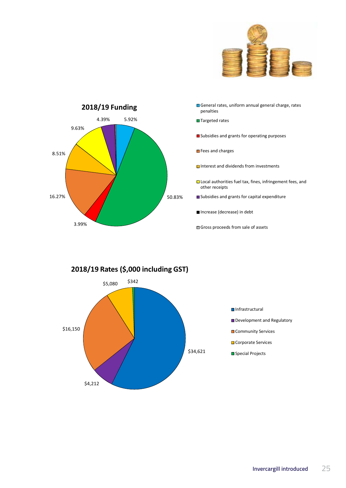



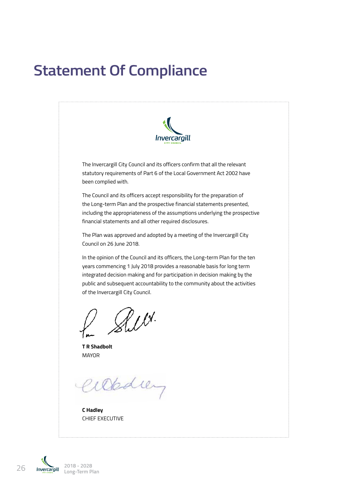# **Statement Of Compliance**



The Invercargill City Council and its officers confirm that all the relevant statutory requirements of Part 6 of the Local Government Act 2002 have been complied with.

The Council and its officers accept responsibility for the preparation of the Long-term Plan and the prospective financial statements presented, including the appropriateness of the assumptions underlying the prospective financial statements and all other required disclosures.

The Plan was approved and adopted by a meeting of the Invercargill City Council on 26 June 2018.

In the opinion of the Council and its officers, the Long-term Plan for the ten years commencing 1 July 2018 provides a reasonable basis for long term integrated decision making and for participation in decision making by the public and subsequent accountability to the community about the activities of the Invercargill City Council.

Aux.

**T R Shadbolt MAYOR** 

Obdiey

**C Hadley** CHIEF EXECUTIVE

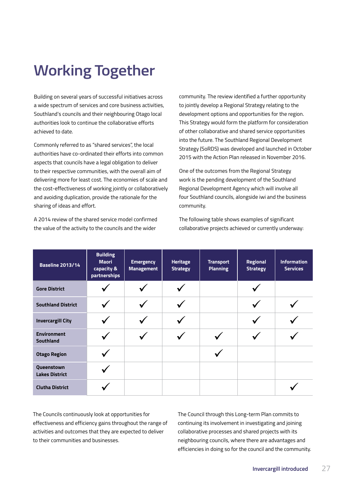# **Working Together**

Building on several years of successful initiatives across a wide spectrum of services and core business activities, Southland's councils and their neighbouring Otago local authorities look to continue the collaborative efforts achieved to date.

Commonly referred to as "shared services", the local authorities have co-ordinated their efforts into common aspects that councils have a legal obligation to deliver to their respective communities, with the overall aim of delivering more for least cost. The economies of scale and the cost-effectiveness of working jointly or collaboratively and avoiding duplication, provide the rationale for the sharing of ideas and effort.

A 2014 review of the shared service model confirmed the value of the activity to the councils and the wider

community. The review identified a further opportunity to jointly develop a Regional Strategy relating to the development options and opportunities for the region. This Strategy would form the platform for consideration of other collaborative and shared service opportunities into the future. The Southland Regional Development Strategy (SoRDS) was developed and launched in October 2015 with the Action Plan released in November 2016.

One of the outcomes from the Regional Strategy work is the pending development of the Southland Regional Development Agency which will involve all four Southland councils, alongside iwi and the business community.

The following table shows examples of significant collaborative projects achieved or currently underway:

| <b>Baseline 2013/14</b>             | <b>Building</b><br><b>Maori</b><br>capacity &<br>partnerships | <b>Emergency</b><br><b>Management</b> | <b>Heritage</b><br><b>Strategy</b> | <b>Transport</b><br><b>Planning</b> | <b>Regional</b><br><b>Strategy</b> | <b>Information</b><br><b>Services</b> |
|-------------------------------------|---------------------------------------------------------------|---------------------------------------|------------------------------------|-------------------------------------|------------------------------------|---------------------------------------|
| <b>Gore District</b>                |                                                               |                                       |                                    |                                     |                                    |                                       |
| <b>Southland District</b>           |                                                               |                                       |                                    |                                     |                                    |                                       |
| <b>Invercargill City</b>            |                                                               |                                       |                                    |                                     |                                    |                                       |
| <b>Environment</b><br>Southland     |                                                               |                                       |                                    |                                     |                                    |                                       |
| <b>Otago Region</b>                 |                                                               |                                       |                                    |                                     |                                    |                                       |
| Queenstown<br><b>Lakes District</b> |                                                               |                                       |                                    |                                     |                                    |                                       |
| <b>Clutha District</b>              |                                                               |                                       |                                    |                                     |                                    |                                       |

The Councils continuously look at opportunities for effectiveness and efficiency gains throughout the range of activities and outcomes that they are expected to deliver to their communities and businesses.

The Council through this Long-term Plan commits to continuing its involvement in investigating and joining collaborative processes and shared projects with its neighbouring councils, where there are advantages and efficiencies in doing so for the council and the community.